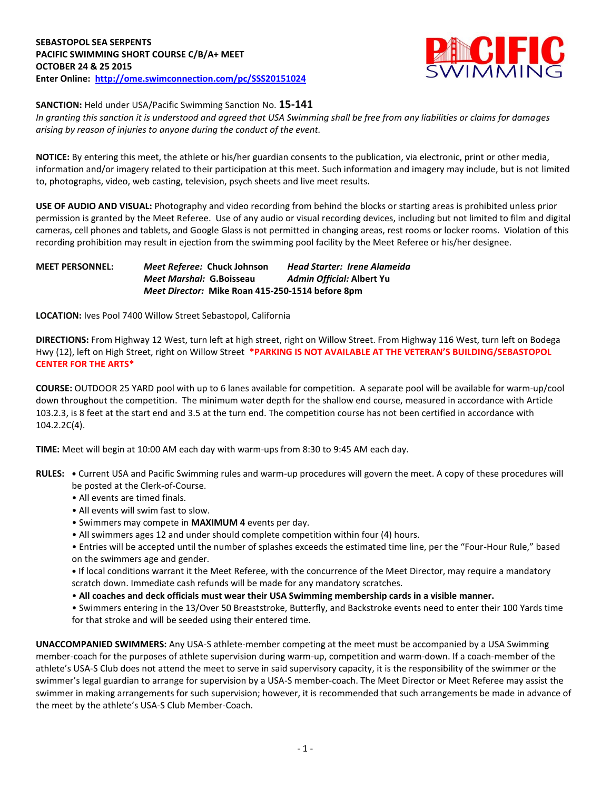

**SANCTION:** Held under USA/Pacific Swimming Sanction No. **15-141**

*In granting this sanction it is understood and agreed that USA Swimming shall be free from any liabilities or claims for damages arising by reason of injuries to anyone during the conduct of the event.*

**NOTICE:** By entering this meet, the athlete or his/her guardian consents to the publication, via electronic, print or other media, information and/or imagery related to their participation at this meet. Such information and imagery may include, but is not limited to, photographs, video, web casting, television, psych sheets and live meet results.

**USE OF AUDIO AND VISUAL:** Photography and video recording from behind the blocks or starting areas is prohibited unless prior permission is granted by the Meet Referee. Use of any audio or visual recording devices, including but not limited to film and digital cameras, cell phones and tablets, and Google Glass is not permitted in changing areas, rest rooms or locker rooms. Violation of this recording prohibition may result in ejection from the swimming pool facility by the Meet Referee or his/her designee.

## **MEET PERSONNEL:** *Meet Referee:* **Chuck Johnson** *Head Starter: Irene Alameida Meet Marshal:* **G.Boisseau** *Admin Official:* **Albert Yu** *Meet Director:* **Mike Roan 415-250-1514 before 8pm**

**LOCATION:** Ives Pool 7400 Willow Street Sebastopol, California

**DIRECTIONS:** From Highway 12 West, turn left at high street, right on Willow Street. From Highway 116 West, turn left on Bodega Hwy (12), left on High Street, right on Willow Street **\*PARKING IS NOT AVAILABLE AT THE VETERAN'S BUILDING/SEBASTOPOL CENTER FOR THE ARTS\***

**COURSE:** OUTDOOR 25 YARD pool with up to 6 lanes available for competition. A separate pool will be available for warm-up/cool down throughout the competition. The minimum water depth for the shallow end course, measured in accordance with Article 103.2.3, is 8 feet at the start end and 3.5 at the turn end. The competition course has not been certified in accordance with 104.2.2C(4).

**TIME:** Meet will begin at 10:00 AM each day with warm-ups from 8:30 to 9:45 AM each day.

- **RULES: •** Current USA and Pacific Swimming rules and warm-up procedures will govern the meet. A copy of these procedures will be posted at the Clerk-of-Course.
	- All events are timed finals.
	- All events will swim fast to slow.
	- Swimmers may compete in **MAXIMUM 4** events per day.
	- All swimmers ages 12 and under should complete competition within four (4) hours.
	- Entries will be accepted until the number of splashes exceeds the estimated time line, per the "Four-Hour Rule," based on the swimmers age and gender.

**•** If local conditions warrant it the Meet Referee, with the concurrence of the Meet Director, may require a mandatory scratch down. Immediate cash refunds will be made for any mandatory scratches.

• **All coaches and deck officials must wear their USA Swimming membership cards in a visible manner.** 

• Swimmers entering in the 13/Over 50 Breaststroke, Butterfly, and Backstroke events need to enter their 100 Yards time for that stroke and will be seeded using their entered time.

**UNACCOMPANIED SWIMMERS:** Any USA-S athlete-member competing at the meet must be accompanied by a USA Swimming member-coach for the purposes of athlete supervision during warm-up, competition and warm-down. If a coach-member of the athlete's USA-S Club does not attend the meet to serve in said supervisory capacity, it is the responsibility of the swimmer or the swimmer's legal guardian to arrange for supervision by a USA-S member-coach. The Meet Director or Meet Referee may assist the swimmer in making arrangements for such supervision; however, it is recommended that such arrangements be made in advance of the meet by the athlete's USA-S Club Member-Coach.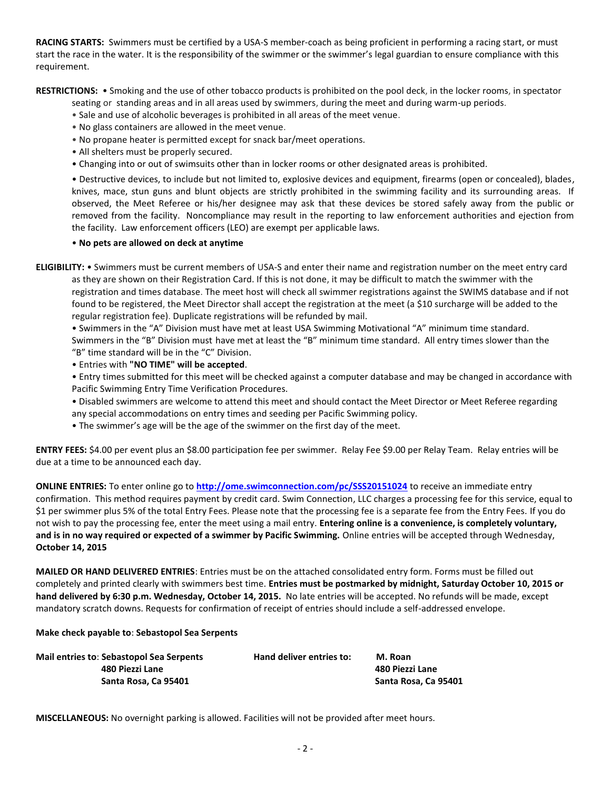**RACING STARTS:** Swimmers must be certified by a USA-S member-coach as being proficient in performing a racing start, or must start the race in the water. It is the responsibility of the swimmer or the swimmer's legal guardian to ensure compliance with this requirement.

**RESTRICTIONS:** • Smoking and the use of other tobacco products is prohibited on the pool deck, in the locker rooms, in spectator

seating or standing areas and in all areas used by swimmers, during the meet and during warm-up periods.

- Sale and use of alcoholic beverages is prohibited in all areas of the meet venue.
- No glass containers are allowed in the meet venue.
- No propane heater is permitted except for snack bar/meet operations.
- All shelters must be properly secured.
- Changing into or out of swimsuits other than in locker rooms or other designated areas is prohibited.

• Destructive devices, to include but not limited to, explosive devices and equipment, firearms (open or concealed), blades, knives, mace, stun guns and blunt objects are strictly prohibited in the swimming facility and its surrounding areas. If observed, the Meet Referee or his/her designee may ask that these devices be stored safely away from the public or removed from the facility. Noncompliance may result in the reporting to law enforcement authorities and ejection from the facility. Law enforcement officers (LEO) are exempt per applicable laws.

#### • **No pets are allowed on deck at anytime**

**ELIGIBILITY:** • Swimmers must be current members of USA-S and enter their name and registration number on the meet entry card as they are shown on their Registration Card. If this is not done, it may be difficult to match the swimmer with the registration and times database. The meet host will check all swimmer registrations against the SWIMS database and if not found to be registered, the Meet Director shall accept the registration at the meet (a \$10 surcharge will be added to the regular registration fee). Duplicate registrations will be refunded by mail.

• Swimmers in the "A" Division must have met at least USA Swimming Motivational "A" minimum time standard. Swimmers in the "B" Division must have met at least the "B" minimum time standard. All entry times slower than the "B" time standard will be in the "C" Division.

• Entries with **"NO TIME" will be accepted**.

• Entry times submitted for this meet will be checked against a computer database and may be changed in accordance with Pacific Swimming Entry Time Verification Procedures.

- Disabled swimmers are welcome to attend this meet and should contact the Meet Director or Meet Referee regarding any special accommodations on entry times and seeding per Pacific Swimming policy.
- The swimmer's age will be the age of the swimmer on the first day of the meet.

**ENTRY FEES:** \$4.00 per event plus an \$8.00 participation fee per swimmer. Relay Fee \$9.00 per Relay Team. Relay entries will be due at a time to be announced each day.

**ONLINE ENTRIES:** To enter online go to **<http://ome.swimconnection.com/pc/SSS20151024>** to receive an immediate entry confirmation. This method requires payment by credit card. Swim Connection, LLC charges a processing fee for this service, equal to \$1 per swimmer plus 5% of the total Entry Fees. Please note that the processing fee is a separate fee from the Entry Fees. If you do not wish to pay the processing fee, enter the meet using a mail entry. **Entering online is a convenience, is completely voluntary, and is in no way required or expected of a swimmer by Pacific Swimming.** Online entries will be accepted through Wednesday, **October 14, 2015**

**MAILED OR HAND DELIVERED ENTRIES**: Entries must be on the attached consolidated entry form. Forms must be filled out completely and printed clearly with swimmers best time. **Entries must be postmarked by midnight, Saturday October 10, 2015 or hand delivered by 6:30 p.m. Wednesday, October 14, 2015.** No late entries will be accepted. No refunds will be made, except mandatory scratch downs. Requests for confirmation of receipt of entries should include a self-addressed envelope.

#### **Make check payable to**: **Sebastopol Sea Serpents**

| <b>Mail entries to: Sebastopol Sea Serpents</b> | Hand deliver entries to: | M. Roan              |
|-------------------------------------------------|--------------------------|----------------------|
| 480 Piezzi Lane                                 |                          | 480 Piezzi Lane      |
| Santa Rosa. Ca 95401                            |                          | Santa Rosa, Ca 95401 |

**MISCELLANEOUS:** No overnight parking is allowed. Facilities will not be provided after meet hours.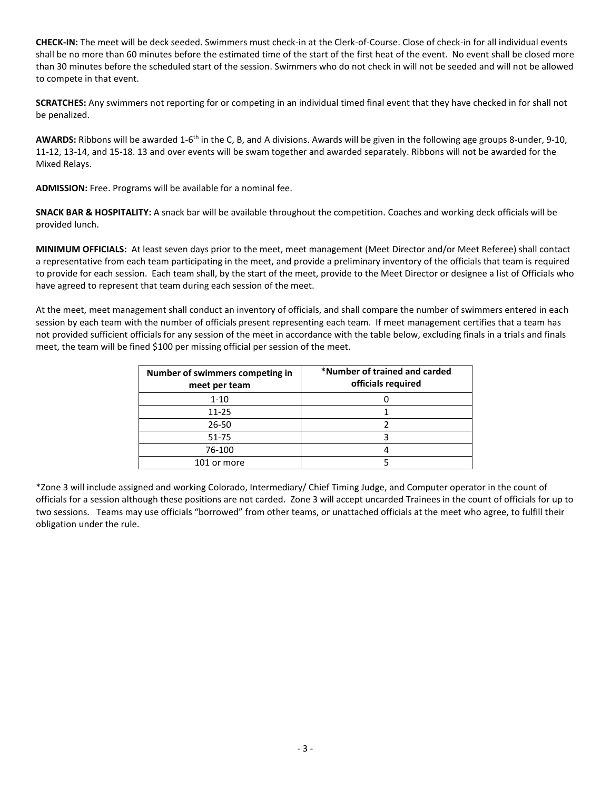**CHECK-IN:** The meet will be deck seeded. Swimmers must check-in at the Clerk-of-Course. Close of check-in for all individual events shall be no more than 60 minutes before the estimated time of the start of the first heat of the event. No event shall be closed more than 30 minutes before the scheduled start of the session. Swimmers who do not check in will not be seeded and will not be allowed to compete in that event.

**SCRATCHES:** Any swimmers not reporting for or competing in an individual timed final event that they have checked in for shall not be penalized.

AWARDS: Ribbons will be awarded 1-6<sup>th</sup> in the C, B, and A divisions. Awards will be given in the following age groups 8-under, 9-10, 11-12, 13-14, and 15-18. 13 and over events will be swam together and awarded separately. Ribbons will not be awarded for the Mixed Relays.

**ADMISSION:** Free. Programs will be available for a nominal fee.

**SNACK BAR & HOSPITALITY:** A snack bar will be available throughout the competition. Coaches and working deck officials will be provided lunch.

**MINIMUM OFFICIALS:** At least seven days prior to the meet, meet management (Meet Director and/or Meet Referee) shall contact a representative from each team participating in the meet, and provide a preliminary inventory of the officials that team is required to provide for each session. Each team shall, by the start of the meet, provide to the Meet Director or designee a list of Officials who have agreed to represent that team during each session of the meet.

At the meet, meet management shall conduct an inventory of officials, and shall compare the number of swimmers entered in each session by each team with the number of officials present representing each team. If meet management certifies that a team has not provided sufficient officials for any session of the meet in accordance with the table below, excluding finals in a trials and finals meet, the team will be fined \$100 per missing official per session of the meet.

| Number of swimmers competing in<br>meet per team | *Number of trained and carded<br>officials required |
|--------------------------------------------------|-----------------------------------------------------|
| $1 - 10$                                         |                                                     |
| $11 - 25$                                        |                                                     |
| $26 - 50$                                        |                                                     |
| 51-75                                            |                                                     |
| 76-100                                           |                                                     |
| 101 or more                                      |                                                     |

\*Zone 3 will include assigned and working Colorado, Intermediary/ Chief Timing Judge, and Computer operator in the count of officials for a session although these positions are not carded. Zone 3 will accept uncarded Trainees in the count of officials for up to two sessions. Teams may use officials "borrowed" from other teams, or unattached officials at the meet who agree, to fulfill their obligation under the rule.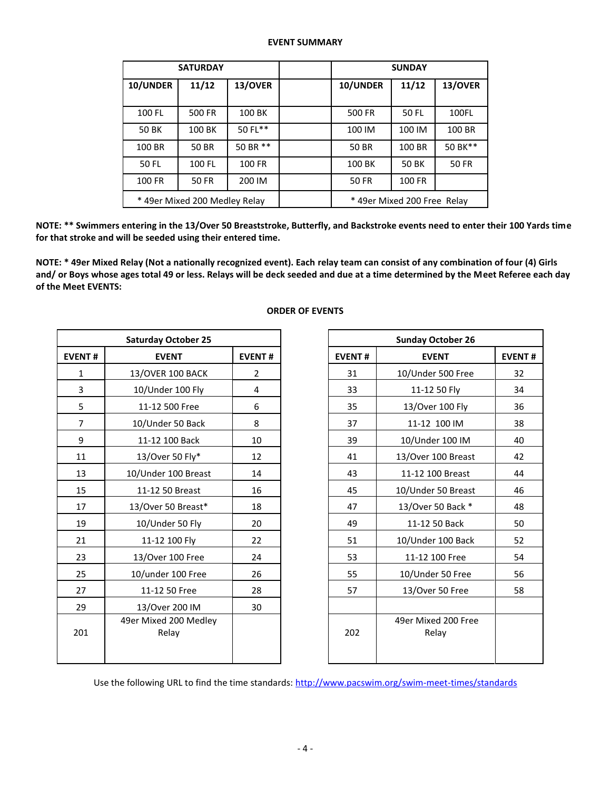### **EVENT SUMMARY**

|          | <b>SATURDAY</b>               |          | <b>SUNDAY</b>               |              |              |  |  |
|----------|-------------------------------|----------|-----------------------------|--------------|--------------|--|--|
| 10/UNDER | 11/12                         | 13/OVER  | 10/UNDER                    | 11/12        | 13/OVER      |  |  |
|          |                               |          |                             |              |              |  |  |
| 100 FL   | 500 FR                        | 100 BK   | 500 FR                      | 50 FL        | 100FL        |  |  |
| 50 BK    | 100 BK                        | 50 FL**  | 100 IM                      | 100 IM       | 100 BR       |  |  |
| 100 BR   | <b>50 BR</b>                  | 50 BR ** | <b>50 BR</b>                | 100 BR       | 50 BK**      |  |  |
| 50 FL    | 100 FL                        | 100 FR   | 100 BK                      | <b>50 BK</b> | <b>50 FR</b> |  |  |
| 100 FR   | <b>50 FR</b>                  | 200 IM   | <b>50 FR</b>                | 100 FR       |              |  |  |
|          | * 49er Mixed 200 Medley Relay |          | * 49er Mixed 200 Free Relay |              |              |  |  |

**NOTE: \*\* Swimmers entering in the 13/Over 50 Breaststroke, Butterfly, and Backstroke events need to enter their 100 Yards time for that stroke and will be seeded using their entered time.**

**NOTE: \* 49er Mixed Relay (Not a nationally recognized event). Each relay team can consist of any combination of four (4) Girls and/ or Boys whose ages total 49 or less. Relays will be deck seeded and due at a time determined by the Meet Referee each day of the Meet EVENTS:**

|                | <b>Saturday October 25</b>     |               |
|----------------|--------------------------------|---------------|
| <b>EVENT#</b>  | <b>EVENT</b>                   | <b>EVENT#</b> |
| $\mathbf{1}$   | 13/OVER 100 BACK               | 2             |
| 3              | 10/Under 100 Fly               | 4             |
| 5              | 11-12 500 Free                 | 6             |
| $\overline{7}$ | 10/Under 50 Back               | 8             |
| 9              | 11-12 100 Back                 | 10            |
| 11             | 13/Over 50 Fly*                | 12            |
| 13             | 10/Under 100 Breast            | 14            |
| 15             | 11-12 50 Breast                | 16            |
| 17             | 13/Over 50 Breast*             | 18            |
| 19             | 10/Under 50 Fly                | 20            |
| 21             | 11-12 100 Fly                  | 22            |
| 23             | 13/Over 100 Free               | 24            |
| 25             | 10/under 100 Free              | 26            |
| 27             | 11-12 50 Free                  | 28            |
| 29             | 13/Over 200 IM                 | 30            |
| 201            | 49er Mixed 200 Medley<br>Relay |               |
|                |                                |               |

# **ORDER OF EVENTS**

| <b>Sunday October 26</b> |                              |    |  |  |  |  |  |
|--------------------------|------------------------------|----|--|--|--|--|--|
| <b>EVENT#</b>            | <b>EVENT</b>                 |    |  |  |  |  |  |
| 31                       | 10/Under 500 Free            | 32 |  |  |  |  |  |
| 33                       | 11-12 50 Fly                 | 34 |  |  |  |  |  |
| 35                       | 13/Over 100 Fly              | 36 |  |  |  |  |  |
| 37                       | 11-12 100 IM                 | 38 |  |  |  |  |  |
| 39                       | 10/Under 100 IM              | 40 |  |  |  |  |  |
| 41                       | 13/Over 100 Breast           | 42 |  |  |  |  |  |
| 43                       | 11-12 100 Breast             | 44 |  |  |  |  |  |
| 45                       | 10/Under 50 Breast           | 46 |  |  |  |  |  |
| 47                       | 13/Over 50 Back *            | 48 |  |  |  |  |  |
| 49                       | 11-12 50 Back                | 50 |  |  |  |  |  |
| 51                       | 10/Under 100 Back            | 52 |  |  |  |  |  |
| 53                       | 11-12 100 Free               | 54 |  |  |  |  |  |
| 55                       | 10/Under 50 Free             | 56 |  |  |  |  |  |
| 57                       | 13/Over 50 Free              | 58 |  |  |  |  |  |
|                          |                              |    |  |  |  |  |  |
| 202                      | 49er Mixed 200 Free<br>Relay |    |  |  |  |  |  |

Use the following URL to find the time standards: <http://www.pacswim.org/swim-meet-times/standards>